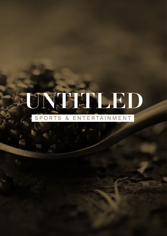## ONGHAL ED SPORTS & ENTERTAINMENT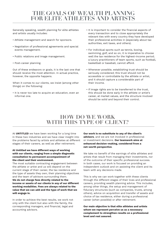## **THE GOALS OF WEALTH PLANNING FOR ELITE ATHLETES AND ARTISTS**

Generally speaking, wealth planning for elite athletes and artists usually includes:

- Athlete management and search for sponsors.
- Negotiation of professional agreements and special events management.
- Public relations and image management.
- Post-career planning.

Out of these endeavors or goals, it is the last one that should receive the most attention. In actual practice, however, the opposite happens.

When it comes to our clients, we insist (among other things) on the following:

• It is never too late to acquire an education, even an informal one.

- It is important to consider the financial aspects of every transaction and to close appropriately the relevant ties with every country they have developed their professional activities in (especially about tax authorities, exit taxes, and others).
- For individual sports such as tennis, boxing, swimming, golf, and so on, it is imperative to choose well the tax residence for the highest-income period; a luxury practitioners of team sports, such as football, basketball or baseball, cannot afford.
- Whenever possible, establishing trust should be seriously considered; this trust should not be accessible or controllable by the athlete or artist, and it should capture a considerable part of their income.
- If image rights are to be transferred to the trust, this should be done early in the athlete or artist's career, at market values, and the structure involved should be solid and beyond their control.

## **HOW DO WE WORK WITH THIS TYPE OF CLIENT?**

At **UNTITLED** we have been working for a long time in these two industries and we have clear insight into the problems faced by artists and athletes at different stages of their careers, as well as after retirement.

## **At Untitled we have different ways of working with our clients, ranging from a simple diagnostic consultation to permanent accompaniment of the client and their environment.**

The most suitable contracting engagement between the athlete or artist and us will depend on the current stage of their career, the tax residence and the type of assets they own, their planning objectives and the team of advisors surrounding them. **We do not charge fees directly related to the income or assets of our clients in any of our different working modalities. Fees are always related to the value that we can add and the type of work that we will engage in.**

In order to achieve the best results, we work not only with the client but also with the family, the corresponding managers, and financial, legal and accounting advisors.

**Our work is no substitute to any of the client's advisors**, and we are not involved in professional or investment decisions. **Our teamwork aims at enhanced decision-making, considered from a net-worth perspective**.

We take no benefit of the earnings of elite athletes and artists that result from managing their investments, nor of the outcome of their specific professional success. In both cases, our work is focused on providing an independent outlook and on assisting the client and its team with any decisions made.

This is why we can work together with these clients through the different stages of their lives and professional careers, providing wealth planning advice. This includes, among other things, the setup and management of fiduciary structures (such as companies, trusts, among others), advice on acquisition and transfer of assets and choice of tax residence, either during a professional career (when possible) or after retirement.

**Our main objective is that elite athletes and artists whom we represent perceive us as a necessary complement to strengthen results on a professional level and rest assured.**